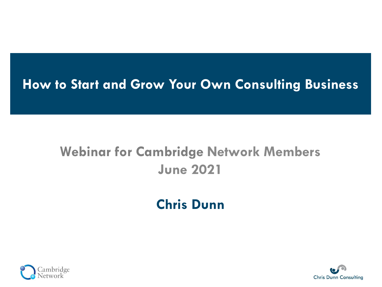#### **How to Start and Grow Your Own Consulting Business**

# **Webinar for Cambridge Network Members June 2021**

### **Chris Dunn**



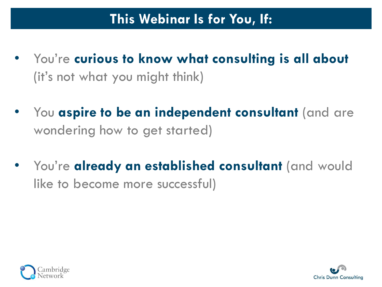- You're **curious to know what consulting is all about**  (it's not what you might think)
- You **aspire to be an independent consultant** (and are wondering how to get started)
- You're **already an established consultant** (and would like to become more successful)



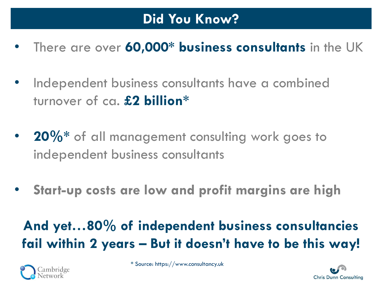- There are over **60,000\* business consultants** in the UK
- Independent business consultants have a combined turnover of ca. **£2 billion\***
- **20%\*** of all management consulting work goes to independent business consultants
- **Start-up costs are low and profit margins are high**

# **And yet…80% of independent business consultancies fail within 2 years – But it doesn't have to be this way!**



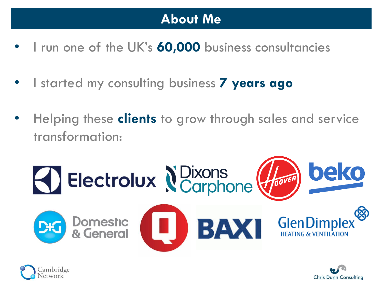#### **About Me**

- I run one of the UK's **60,000** business consultancies
- I started my consulting business **7 years ago**
- Helping these **clients** to grow through sales and service transformation:





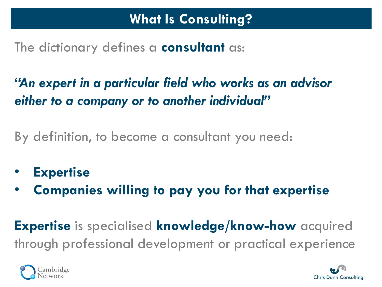The dictionary defines a **consultant** as:

*"An expert in a particular field who works as an advisor either to a company or to another individual"*

By definition, to become a consultant you need:

- **Expertise**
- **Companies willing to pay you for that expertise**

**Expertise** is specialised **knowledge/know-how** acquired through professional development or practical experience



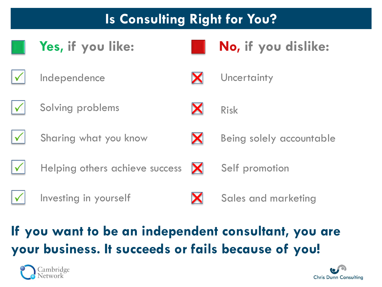## **Is Consulting Right for You?**







**Yes, if you like: No, if you dislike:**



Risk



Solving problems



Sharing what you know



Being solely accountable



Helping others achieve success



Self promotion



Investing in yourself



Sales and marketing

# **If you want to be an independent consultant, you are your business. It succeeds or fails because of you!**



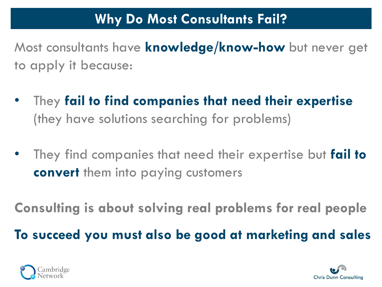#### **Why Do Most Consultants Fail?**

Most consultants have **knowledge/know-how** but never get to apply it because:

- They **fail to find companies that need their expertise**  (they have solutions searching for problems)
- They find companies that need their expertise but **fail to convert** them into paying customers

**Consulting is about solving real problems for real people**

**To succeed you must also be good at marketing and sales**



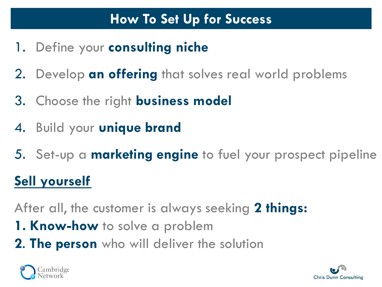#### **How To Set Up for Success**

- 1. Define your **consulting niche**
- 2. Develop **an offering** that solves real world problems
- 3. Choose the right **business model**
- 4. Build your **unique brand**
- 5. Set-up a **marketing engine** to fuel your prospect pipeline

## **Sell yourself**

After all, the customer is always seeking **2 things:** 

- **1. Know-how** to solve a problem
- **2**. **The person** who will deliver the solution



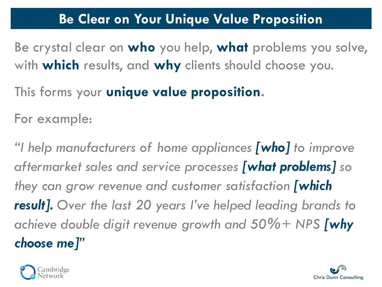#### **Be Clear on Your Unique Value Proposition**

Be crystal clear on **who** you help, **what** problems you solve, with **which** results, and **why** clients should choose you.

This forms your **unique value proposition.** 

For example:

*"I help manufacturers of home appliances [who] to improve aftermarket sales and service processes [what problems] so they can grow revenue and customer satisfaction [which result]. Over the last 20 years I've helped leading brands to achieve double digit revenue growth and 50%+ NPS [why choose me]"*



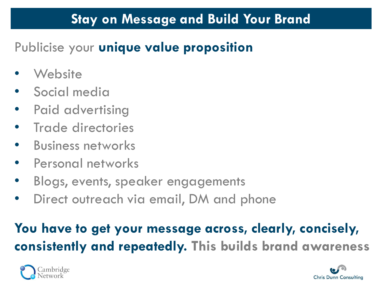#### **Stay on Message and Build Your Brand**

## Publicise your **unique value proposition**

- **Website**
- Social media
- Paid advertising
- Trade directories
- Business networks
- Personal networks
- Blogs, events, speaker engagements
- Direct outreach via email, DM and phone

# **You have to get your message across, clearly, concisely, consistently and repeatedly. This builds brand awareness**



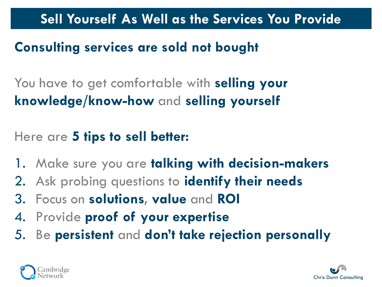**Sell Yourself As Well as the Services You Provide**

### **Consulting services are sold not bought**

You have to get comfortable with **selling your knowledge/know-how** and **selling yourself**

#### Here are **5 tips to sell better:**

- 1. Make sure you are **talking with decision-makers**
- 2. Ask probing questions to **identify their needs**
- 3. Focus on **solutions, value** and **ROI**
- 4. Provide **proof of your expertise**
- 5. Be **persistent** and **don't take rejection personally**



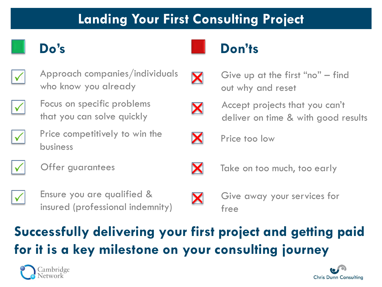#### **Landing Your First Consulting Project**



Approach companies/individuals who know you already



Focus on specific problems that you can solve quickly



Price competitively to win the business



Offer guarantees  $\begin{matrix} \diagup \mathbf{X} \end{matrix}$  Take on too much, too early





Ensure you are qualified & insured (professional indemnity)

# X

Give away your services for free

# **Successfully delivering your first project and getting paid for it is a key milestone on your consulting journey**









Accept projects that you can't deliver on time & with good results

Give up at the first "no" – find



Price too low

out why and reset

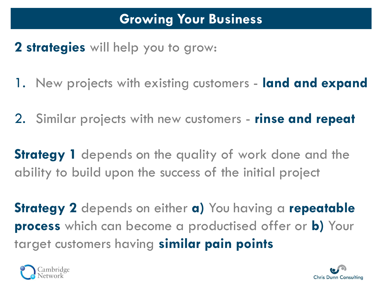#### **Growing Your Business**

#### **2 strategies** will help you to grow:

- 1. New projects with existing customers **land and expand**
- 2. Similar projects with new customers **rinse and repeat**

**Strategy 1** depends on the quality of work done and the ability to build upon the success of the initial project

**Strategy 2** depends on either **a)** You having a **repeatable process** which can become a productised offer or **b)** Your target customers having **similar pain points**



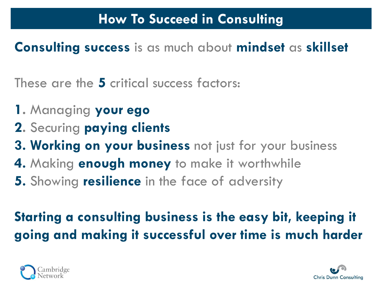**Consulting success** is as much about **mindset** as **skillset**

These are the **5** critical success factors:

- **1.** Managing **your ego**
- **2.** Securing **paying clients**
- **3. Working on your business** not just for your business
- **4.** Making **enough money** to make it worthwhile
- **5.** Showing **resilience** in the face of adversity

# **Starting a consulting business is the easy bit, keeping it going and making it successful over time is much harder**



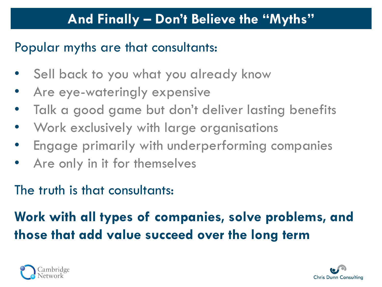#### **And Finally – Don't Believe the "Myths"**

#### Popular myths are that consultants:

- Sell back to you what you already know
- Are eye-wateringly expensive
- Talk a good game but don't deliver lasting benefits
- Work exclusively with large organisations
- Engage primarily with underperforming companies
- Are only in it for themselves

#### The truth is that consultants:

# **Work with all types of companies, solve problems, and those that add value succeed over the long term**



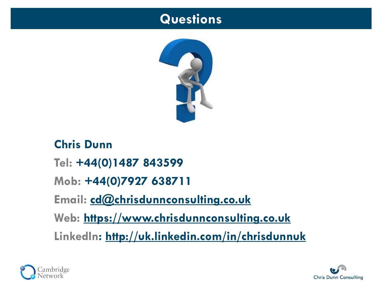#### **Questions**



**Chris Dunn Tel: +44(0)1487 843599 Mob: +44(0)7927 638711 Email: [cd@chrisdunnconsulting.co.uk](mailto:cd@chrisdunnconsulting.co.uk) Web: [https://www.chrisdunnconsulting.co.uk](https://www.chrisdunnconsulting.co.uk/) LinkedIn: <http://uk.linkedin.com/in/chrisdunnuk>**